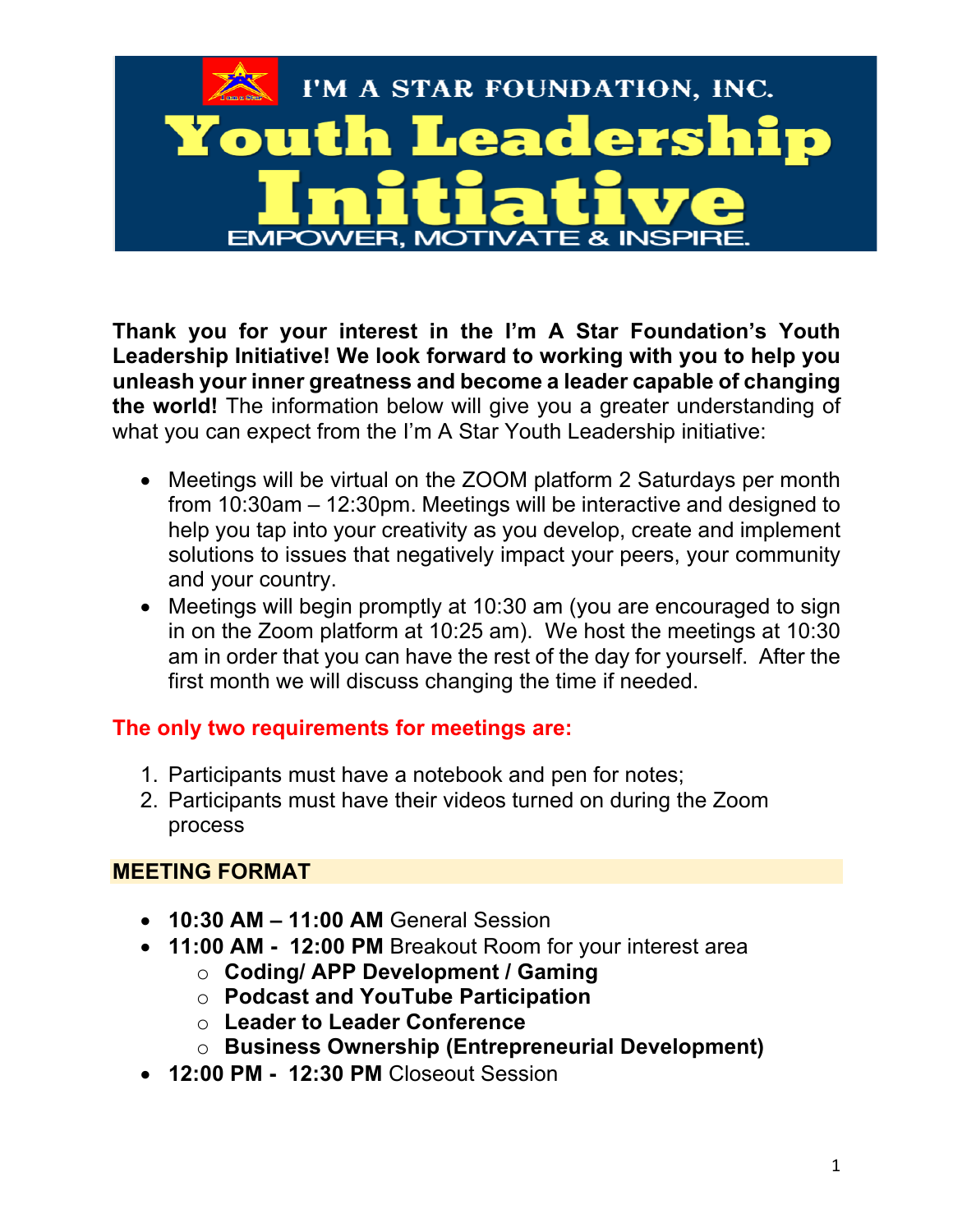

**Thank you for your interest in the I'm A Star Foundation's Youth Leadership Initiative! We look forward to working with you to help you unleash your inner greatness and become a leader capable of changing the world!** The information below will give you a greater understanding of what you can expect from the I'm A Star Youth Leadership initiative:

- Meetings will be virtual on the ZOOM platform 2 Saturdays per month from 10:30am – 12:30pm. Meetings will be interactive and designed to help you tap into your creativity as you develop, create and implement solutions to issues that negatively impact your peers, your community and your country.
- Meetings will begin promptly at 10:30 am (you are encouraged to sign in on the Zoom platform at 10:25 am). We host the meetings at 10:30 am in order that you can have the rest of the day for yourself. After the first month we will discuss changing the time if needed.

# **The only two requirements for meetings are:**

- 1. Participants must have a notebook and pen for notes;
- 2. Participants must have their videos turned on during the Zoom process

## **MEETING FORMAT**

- **10:30 AM – 11:00 AM** General Session
- **11:00 AM 12:00 PM** Breakout Room for your interest area
	- o **Coding/ APP Development / Gaming**
	- o **Podcast and YouTube Participation**
	- o **Leader to Leader Conference**
	- o **Business Ownership (Entrepreneurial Development)**
- **12:00 PM 12:30 PM** Closeout Session